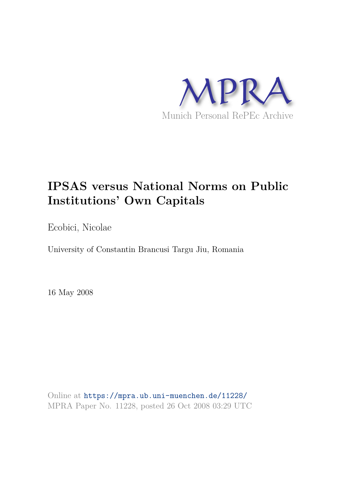

# **IPSAS versus National Norms on Public Institutions' Own Capitals**

Ecobici, Nicolae

University of Constantin Brancusi Targu Jiu, Romania

16 May 2008

Online at https://mpra.ub.uni-muenchen.de/11228/ MPRA Paper No. 11228, posted 26 Oct 2008 03:29 UTC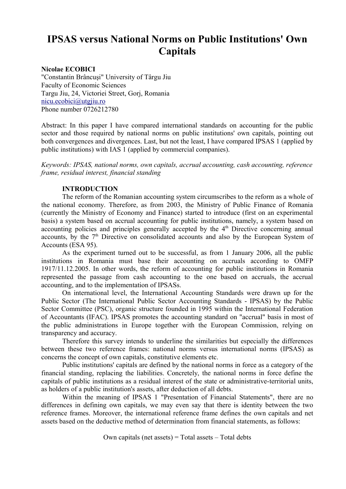# **IPSAS versus National Norms on Public Institutions' Own Capitals**

# **Nicolae ECOBICI**

"Constantin Brâncuşi" University of Târgu Jiu Faculty of Economic Sciences Targu Jiu, 24, Victoriei Street, Gorj, Romania nicu.e cobici@utgjiu.ro Phone number 0726212780

Abstract: In this paper I have compared international standards on accounting for the public sector and those required by national norms on public institutions' own capitals, pointing out both convergences and divergences. Last, but not the least, I have compared IPSAS 1 (applied by public institutions) with IAS 1 (applied by commercial companies).

*Keywords: IPSAS, national norms, own capitals, accrual accounting, cash accounting, reference frame, residual interest, financial standing*

## **INTRODUCTION**

The reform of the Romanian accounting system circumscribes to the reform as a whole of the national economy. Therefore, as from 2003, the Ministry of Public Finance of Romania (currently the Ministry of Economy and Finance) started to introduce (first on an experimental basis) a system based on accrual accounting for public institutions, namely, a system based on accounting policies and principles generally accepted by the  $4<sup>th</sup>$  Directive concerning annual accounts, by the 7<sup>th</sup> Directive on consolidated accounts and also by the European System of Accounts (ESA 95).

As the experiment turned out to be successful, as from 1 January 2006, all the public institutions in Romania must base their accounting on accruals according to OMFP 1917/11.12.2005. In other words, the reform of accounting for public institutions in Romania represented the passage from cash accounting to the one based on accruals, the accrual accounting, and to the implementation of IPSASs.

On international level, the International Accounting Standards were drawn up for the Public Sector (The International Public Sector Accounting Standards - IPSAS) by the Public Sector Committee (PSC), organic structure founded in 1995 within the International Federation of Accountants (IFAC). IPSAS promotes the accounting standard on "accrual" basis in most of the public administrations in Europe together with the European Commission, relying on transparency and accuracy.

Therefore this survey intends to underline the similarities but especially the differences between these two reference frames: national norms versus international norms (IPSAS) as concerns the concept of own capitals, constitutive elements etc.

Public institutions' capitals are defined by the national norms in force as a category of the financial standing, replacing the liabilities. Concretely, the national norms in force define the capitals of public institutions as a residual interest of the state or administrative-territorial units, as holders of a public institution's assets, after deduction of all debts.

Within the meaning of IPSAS 1 "Presentation of Financial Statements", there are no differences in defining own capitals, we may even say that there is identity between the two reference frames. Moreover, the international reference frame defines the own capitals and net assets based on the deductive method of determination from financial statements, as follows:

Own capitals (net assets)  $=$  Total assets  $-$  Total debts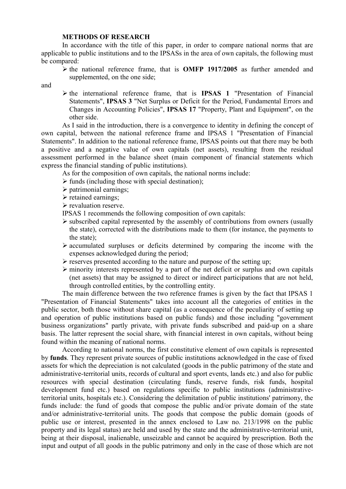#### **METHODS OF RESEARCH**

In accordance with the title of this paper, in order to compare national norms that are applicable to public institutions and to the IPSASs in the area of own capitals, the following must be compared:

 $\triangleright$  the national reference frame, that is **OMFP 1917/2005** as further amended and supplemented, on the one side;

and

 $\triangleright$  the international reference frame, that is **IPSAS 1** "Presentation of Financial Statements", **IPSAS 3** "Net Surplus or Deficit for the Period, Fundamental Errors and Changes in Accounting Policies", **IPSAS 17** "Property, Plant and Equipment", on the other side.

As I said in the introduction, there is a convergence to identity in defining the concept of own capital, between the national reference frame and IPSAS 1 "Presentation of Financial Statements". In addition to the national reference frame, IPSAS points out that there may be both a positive and a negative value of own capitals (net assets), resulting from the residual assessment performed in the balance sheet (main component of financial statements which express the financial standing of public institutions).

As for the composition of own capitals, the national norms include:

- $\triangleright$  funds (including those with special destination);
- $\triangleright$  patrimonial earnings;
- $\triangleright$  retained earnings;
- $\triangleright$  revaluation reserve.

IPSAS 1 recommends the following composition of own capitals:

- $\triangleright$  subscribed capital represented by the assembly of contributions from owners (usually the state), corrected with the distributions made to them (for instance, the payments to the state);
- $\triangleright$  accumulated surpluses or deficits determined by comparing the income with the expenses acknowledged during the period;
- $\triangleright$  reserves presented according to the nature and purpose of the setting up;
- $\triangleright$  minority interests represented by a part of the net deficit or surplus and own capitals (net assets) that may be assigned to direct or indirect participations that are not held, through controlled entities, by the controlling entity.

The main difference between the two reference frames is given by the fact that IPSAS 1 "Presentation of Financial Statements" takes into account all the categories of entities in the public sector, both those without share capital (as a consequence of the peculiarity of setting up and operation of public institutions based on public funds) and those including "government business organizations" partly private, with private funds subscribed and paid-up on a share basis. The latter represent the social share, with financial interest in own capitals, without being found within the meaning of national norms.

According to national norms, the first constitutive element of own capitals is represented by **funds**. They represent private sources of public institutions acknowledged in the case of fixed assets for which the depreciation is not calculated (goods in the public patrimony of the state and administrative-territorial units, records of cultural and sport events, lands etc.) and also for public resources with special destination (circulating funds, reserve funds, risk funds, hospital development fund etc.) based on regulations specific to public institutions (administrativeterritorial units, hospitals etc.). Considering the delimitation of public institutions' patrimony, the funds include: the fund of goods that compose the public and/or private domain of the state and/or administrative-territorial units. The goods that compose the public domain (goods of public use or interest, presented in the annex enclosed to Law no. 213/1998 on the public property and its legal status) are held and used by the state and the administrative-territorial unit, being at their disposal, inalienable, unseizable and cannot be acquired by prescription. Both the input and output of all goods in the public patrimony and only in the case of those which are not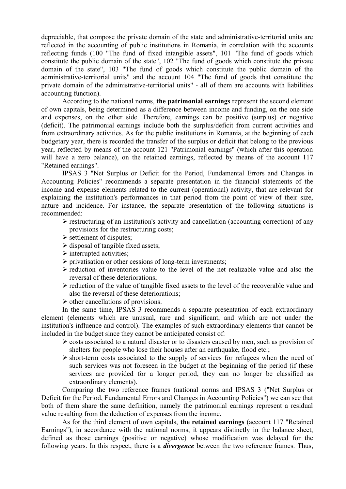depreciable, that compose the private domain of the state and administrative-territorial units are reflected in the accounting of public institutions in Romania, in correlation with the accounts reflecting funds (100 "The fund of fixed intangible assets", 101 "The fund of goods which constitute the public domain of the state", 102 "The fund of goods which constitute the private domain of the state", 103 "The fund of goods which constitute the public domain of the administrative-territorial units" and the account 104 "The fund of goods that constitute the private domain of the administrative-territorial units" - all of them are accounts with liabilities accounting function).

According to the national norms, **the patrimonial earnings** represent the second element of own capitals, being determined as a difference between income and funding, on the one side and expenses, on the other side. Therefore, earnings can be positive (surplus) or negative (deficit). The patrimonial earnings include both the surplus/deficit from current activities and from extraordinary activities. As for the public institutions in Romania, at the beginning of each budgetary year, there is recorded the transfer of the surplus or deficit that belong to the previous year, reflected by means of the account 121 "Patrimonial earnings" (which after this operation will have a zero balance), on the retained earnings, reflected by means of the account 117 "Retained earnings".

IPSAS 3 "Net Surplus or Deficit for the Period, Fundamental Errors and Changes in Accounting Policies" recommends a separate presentation in the financial statements of the income and expense elements related to the current (operational) activity, that are relevant for explaining the institution's performances in that period from the point of view of their size, nature and incidence. For instance, the separate presentation of the following situations is recommended:

- $\triangleright$  restructuring of an institution's activity and cancellation (accounting correction) of any provisions for the restructuring costs;
- $\triangleright$  settlement of disputes;
- $\triangleright$  disposal of tangible fixed assets;
- $\triangleright$  interrupted activities;
- $\triangleright$  privatisation or other cessions of long-term investments;
- $\triangleright$  reduction of inventories value to the level of the net realizable value and also the reversal of these deteriorations;
- $\triangleright$  reduction of the value of tangible fixed assets to the level of the recoverable value and also the reversal of these deteriorations;
- $\triangleright$  other cancellations of provisions.

In the same time, IPSAS 3 recommends a separate presentation of each extraordinary element (elements which are unusual, rare and significant, and which are not under the institution's influence and control). The examples of such extraordinary elements that cannot be included in the budget since they cannot be anticipated consist of:

- $\triangleright$  costs associated to a natural disaster or to disasters caused by men, such as provision of shelters for people who lose their houses after an earthquake, flood etc.;
- $\triangleright$  short-term costs associated to the supply of services for refugees when the need of such services was not foreseen in the budget at the beginning of the period (if these services are provided for a longer period, they can no longer be classified as extraordinary elements).

Comparing the two reference frames (national norms and IPSAS 3 ("Net Surplus or Deficit for the Period, Fundamental Errors and Changes in Accounting Policies") we can see that both of them share the same definition, namely the patrimonial earnings represent a residual value resulting from the deduction of expenses from the income.

As for the third element of own capitals, **the retained earnings** (account 117 "Retained Earnings"), in accordance with the national norms, it appears distinctly in the balance sheet, defined as those earnings (positive or negative) whose modification was delayed for the following years. In this respect, there is a *divergence* between the two reference frames. Thus,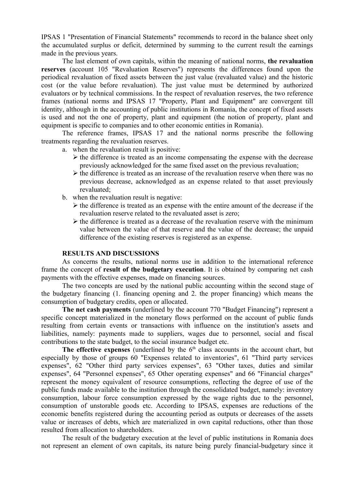IPSAS 1 "Presentation of Financial Statements" recommends to record in the balance sheet only the accumulated surplus or deficit, determined by summing to the current result the earnings made in the previous years.

The last element of own capitals, within the meaning of national norms, **the revaluation reserves** (account 105 "Revaluation Reserves") represents the differences found upon the periodical revaluation of fixed assets between the just value (revaluated value) and the historic cost (or the value before revaluation). The just value must be determined by authorized evaluators or by technical commissions. In the respect of revaluation reserves, the two reference frames (national norms and IPSAS 17 "Property, Plant and Equipment" are convergent till identity, although in the accounting of public institutions in Romania, the concept of fixed assets is used and not the one of property, plant and equipment (the notion of property, plant and equipment is specific to companies and to other economic entities in Romania).

The reference frames, IPSAS 17 and the national norms prescribe the following treatments regarding the revaluation reserves.

- a. when the revaluation result is positive:
	- $\triangleright$  the difference is treated as an income compensating the expense with the decrease previously acknowledged for the same fixed asset on the previous revaluation;
	- $\triangleright$  the difference is treated as an increase of the revaluation reserve when there was no previous decrease, acknowledged as an expense related to that asset previously revaluated;
- b. when the revaluation result is negative:
	- $\triangleright$  the difference is treated as an expense with the entire amount of the decrease if the revaluation reserve related to the revaluated asset is zero;
	- $\triangleright$  the difference is treated as a decrease of the revaluation reserve with the minimum value between the value of that reserve and the value of the decrease; the unpaid difference of the existing reserves is registered as an expense.

#### **RESULTS AND DISCUSSIONS**

As concerns the results, national norms use in addition to the international reference frame the concept of **result of the budgetary execution**. It is obtained by comparing net cash payments with the effective expenses, made on financing sources.

The two concepts are used by the national public accounting within the second stage of the budgetary financing (1. financing opening and 2. the proper financing) which means the consumption of budgetary credits, open or allocated.

**The net cash payments** (underlined by the account 770 "Budget Financing") represent a specific concept materialized in the monetary flows performed on the account of public funds resulting from certain events or transactions with influence on the institution's assets and liabilities, namely: payments made to suppliers, wages due to personnel, social and fiscal contributions to the state budget, to the social insurance budget etc.

The effective expenses (underlined by the  $6<sup>th</sup>$  class accounts in the account chart, but especially by those of groups 60 "Expenses related to inventories", 61 "Third party services expenses", 62 "Other third party services expenses", 63 "Other taxes, duties and similar expenses", 64 "Personnel expenses", 65 Other operating expenses" and 66 "Financial charges" represent the money equivalent of resource consumptions, reflecting the degree of use of the public funds made available to the institution through the consolidated budget, namely: inventory consumption, labour force consumption expressed by the wage rights due to the personnel, consumption of unstorable goods etc. According to IPSAS, expenses are reductions of the economic benefits registered during the accounting period as outputs or decreases of the assets value or increases of debts, which are materialized in own capital reductions, other than those resulted from allocation to shareholders.

The result of the budgetary execution at the level of public institutions in Romania does not represent an element of own capitals, its nature being purely financial-budgetary since it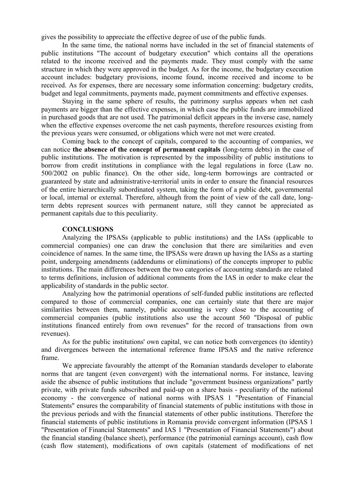gives the possibility to appreciate the effective degree of use of the public funds.

In the same time, the national norms have included in the set of financial statements of public institutions "The account of budgetary execution" which contains all the operations related to the income received and the payments made. They must comply with the same structure in which they were approved in the budget. As for the income, the budgetary execution account includes: budgetary provisions, income found, income received and income to be received. As for expenses, there are necessary some information concerning: budgetary credits, budget and legal commitments, payments made, payment commitments and effective expenses.

Staying in the same sphere of results, the patrimony surplus appears when net cash payments are bigger than the effective expenses, in which case the public funds are immobilized in purchased goods that are not used. The patrimonial deficit appears in the inverse case, namely when the effective expenses overcome the net cash payments, therefore resources existing from the previous years were consumed, or obligations which were not met were created.

Coming back to the concept of capitals, compared to the accounting of companies, we can notice **the absence of the concept of permanent capitals** (long-term debts) in the case of public institutions. The motivation is represented by the impossibility of public institutions to borrow from credit institutions in compliance with the legal regulations in force (Law no. 500/2002 on public finance). On the other side, long-term borrowings are contracted or guaranteed by state and administrative-territorial units in order to ensure the financial resources of the entire hierarchically subordinated system, taking the form of a public debt, governmental or local, internal or external. Therefore, although from the point of view of the call date, longterm debts represent sources with permanent nature, still they cannot be appreciated as permanent capitals due to this peculiarity.

#### **CONCLUSIONS**

Analyzing the IPSASs (applicable to public institutions) and the IASs (applicable to commercial companies) one can draw the conclusion that there are similarities and even coincidence of names. In the same time, the IPSASs were drawn up having the IASs as a starting point, undergoing amendments (addendums or eliminations) of the concepts improper to public institutions. The main differences between the two categories of accounting standards are related to terms definitions, inclusion of additional comments from the IAS in order to make clear the applicability of standards in the public sector.

Analyzing how the patrimonial operations of self-funded public institutions are reflected compared to those of commercial companies, one can certainly state that there are major similarities between them, namely, public accounting is very close to the accounting of commercial companies (public institutions also use the account 560 "Disposal of public institutions financed entirely from own revenues" for the record of transactions from own revenues).

As for the public institutions' own capital, we can notice both convergences (to identity) and divergences between the international reference frame IPSAS and the native reference frame.

We appreciate favourably the attempt of the Romanian standards developer to elaborate norms that are tangent (even convergent) with the international norms. For instance, leaving aside the absence of public institutions that include "government business organizations" partly private, with private funds subscribed and paid-up on a share basis - peculiarity of the national economy - the convergence of national norms with IPSAS 1 "Presentation of Financial Statements" ensures the comparability of financial statements of public institutions with those in the previous periods and with the financial statements of other public institutions. Therefore the financial statements of public institutions in Romania provide convergent information (IPSAS 1 "Presentation of Financial Statements" and IAS 1 "Presentation of Financial Statements") about the financial standing (balance sheet), performance (the patrimonial earnings account), cash flow (cash flow statement), modifications of own capitals (statement of modifications of net